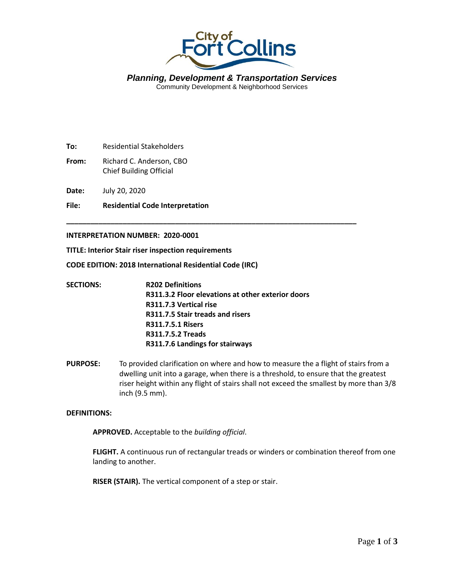

*Planning, Development & Transportation Services* Community Development & Neighborhood Services

**To:** Residential Stakeholders

**From:** Richard C. Anderson, CBO Chief Building Official

**Date:** July 20, 2020

**File: Residential Code Interpretation**

# **INTERPRETATION NUMBER: 2020-0001**

**TITLE: Interior Stair riser inspection requirements**

**CODE EDITION: 2018 International Residential Code (IRC)**

| <b>SECTIONS:</b> | <b>R202 Definitions</b>                           |
|------------------|---------------------------------------------------|
|                  | R311.3.2 Floor elevations at other exterior doors |
|                  | R311.7.3 Vertical rise                            |
|                  | R311.7.5 Stair treads and risers                  |
|                  | <b>R311.7.5.1 Risers</b>                          |
|                  | <b>R311.7.5.2 Treads</b>                          |
|                  | R311.7.6 Landings for stairways                   |

**\_\_\_\_\_\_\_\_\_\_\_\_\_\_\_\_\_\_\_\_\_\_\_\_\_\_\_\_\_\_\_\_\_\_\_\_\_\_\_\_\_\_\_\_\_\_\_\_\_\_\_\_\_\_\_\_\_\_\_\_\_\_\_\_\_\_\_\_\_\_\_\_**

**PURPOSE:** To provided clarification on where and how to measure the a flight of stairs from a dwelling unit into a garage, when there is a threshold, to ensure that the greatest riser height within any flight of stairs shall not exceed the smallest by more than 3/8 inch (9.5 mm).

### **DEFINITIONS:**

**APPROVED.** Acceptable to the *building official*.

**FLIGHT.** A continuous run of rectangular treads or winders or combination thereof from one landing to another.

**RISER (STAIR).** The vertical component of a step or stair.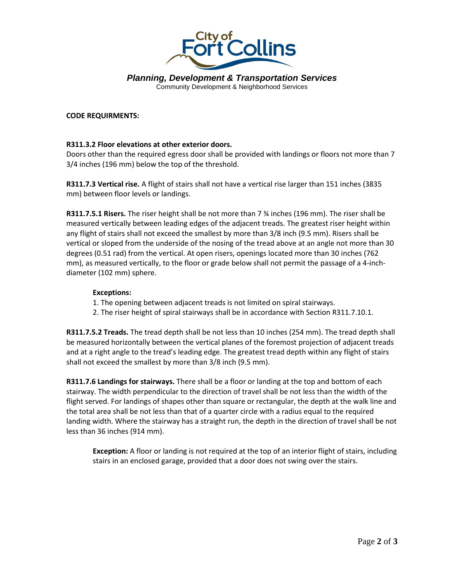

*Planning, Development & Transportation Services* Community Development & Neighborhood Services

## **CODE REQUIRMENTS:**

# **R311.3.2 Floor elevations at other exterior doors.**

Doors other than the required egress door shall be provided with landings or floors not more than 7 3/4 inches (196 mm) below the top of the threshold.

**R311.7.3 Vertical rise.** A flight of stairs shall not have a vertical rise larger than 151 inches (3835 mm) between floor levels or landings.

**R311.7.5.1 Risers.** The riser height shall be not more than 7 ¾ inches (196 mm). The riser shall be measured vertically between leading edges of the adjacent treads. The greatest riser height within any flight of stairs shall not exceed the smallest by more than 3/8 inch (9.5 mm). Risers shall be vertical or sloped from the underside of the nosing of the tread above at an angle not more than 30 degrees (0.51 rad) from the vertical. At open risers, openings located more than 30 inches (762 mm), as measured vertically, to the floor or grade below shall not permit the passage of a 4-inchdiameter (102 mm) sphere.

### **Exceptions:**

- 1. The opening between adjacent treads is not limited on spiral stairways.
- 2. The riser height of spiral stairways shall be in accordance with Section R311.7.10.1.

**R311.7.5.2 Treads.** The tread depth shall be not less than 10 inches (254 mm). The tread depth shall be measured horizontally between the vertical planes of the foremost projection of adjacent treads and at a right angle to the tread's leading edge. The greatest tread depth within any flight of stairs shall not exceed the smallest by more than 3/8 inch (9.5 mm).

**R311.7.6 Landings for stairways.** There shall be a floor or landing at the top and bottom of each stairway. The width perpendicular to the direction of travel shall be not less than the width of the flight served. For landings of shapes other than square or rectangular, the depth at the walk line and the total area shall be not less than that of a quarter circle with a radius equal to the required landing width. Where the stairway has a straight run, the depth in the direction of travel shall be not less than 36 inches (914 mm).

**Exception:** A floor or landing is not required at the top of an interior flight of stairs, including stairs in an enclosed garage, provided that a door does not swing over the stairs.